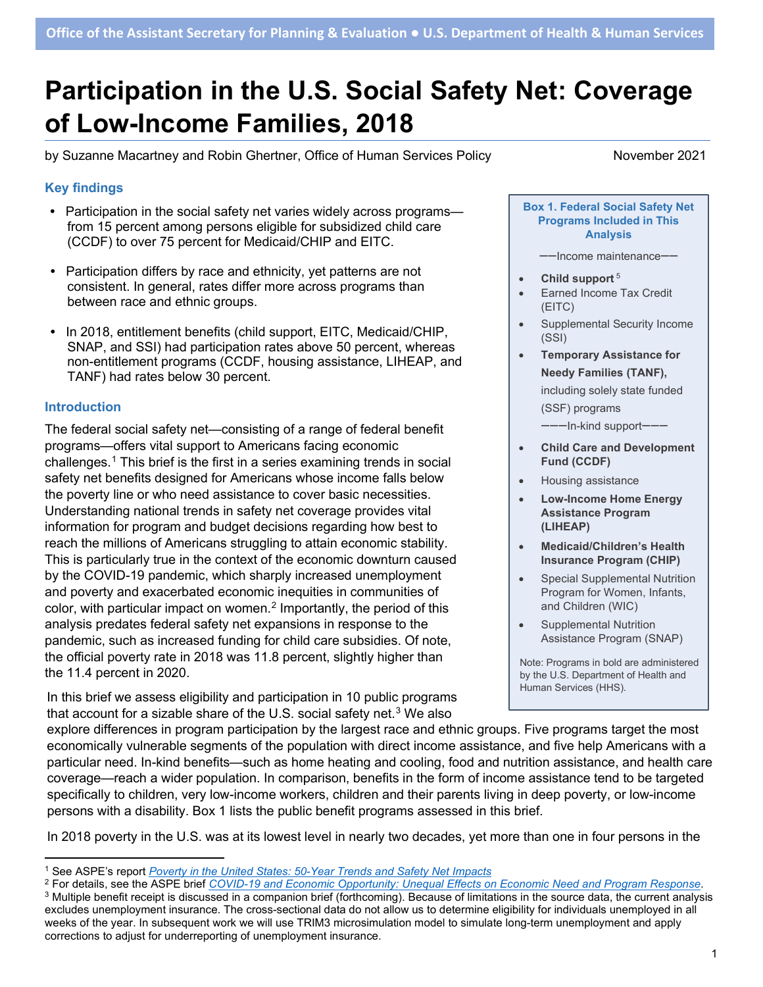# **Participation in the U.S. Social Safety Net: Coverage of Low-Income Families, 2018**

by Suzanne Macartney and Robin Ghertner, Office of Human Services Policy November 2021

### **Key findings**

- **•** Participation in the social safety net varies widely across programs from 15 percent among persons eligible for subsidized child care (CCDF) to over 75 percent for Medicaid/CHIP and EITC.
- **•** Participation differs by race and ethnicity, yet patterns are not consistent. In general, rates differ more across programs than between race and ethnic groups.
- **•** In 2018, entitlement benefits (child support, EITC, Medicaid/CHIP, SNAP, and SSI) had participation rates above 50 percent, whereas non-entitlement programs (CCDF, housing assistance, LIHEAP, and TANF) had rates below 30 percent.

#### **Introduction**

The federal social safety net—consisting of a range of federal benefit programs—offers vital support to Americans facing economic challenges.[1](#page-0-0) This brief is the first in a series examining trends in social safety net benefits designed for Americans whose income falls below the poverty line or who need assistance to cover basic necessities. Understanding national trends in safety net coverage provides vital information for program and budget decisions regarding how best to reach the millions of Americans struggling to attain economic stability. This is particularly true in the context of the economic downturn caused by the COVID-19 pandemic, which sharply increased unemployment and poverty and exacerbated economic inequities in communities of color, with particular impact on women.<sup>[2](#page-0-1)</sup> Importantly, the period of this analysis predates federal safety net expansions in response to the pandemic, such as increased funding for child care subsidies. Of note, the official poverty rate in 2018 was 11.8 percent, slightly higher than the 11.4 percent in 2020.

In this brief we assess eligibility and participation in 10 public programs that account for a sizable share of the U.S. social safety net. $3$  We also

**Box 1. Federal Social Safety Net Programs Included in This Analysis**

--Income maintenance--

- **Child support** <sup>5</sup>
- Earned Income Tax Credit (EITC)
- Supplemental Security Income (SSI)
- **Temporary Assistance for Needy Families (TANF),**

including solely state funded (SSF) programs

---In-kind support-

- **Child Care and Development Fund (CCDF)**
- Housing assistance
- **Low-Income Home Energy Assistance Program (LIHEAP)**
- **Medicaid/Children's Health Insurance Program (CHIP)**
- **Special Supplemental Nutrition** Program for Women, Infants, and Children (WIC)
- Supplemental Nutrition Assistance Program (SNAP)

Note: Programs in bold are administered by the U.S. Department of Health and Human Services (HHS).

explore differences in program participation by the largest race and ethnic groups. Five programs target the most economically vulnerable segments of the population with direct income assistance, and five help Americans with a particular need. In-kind benefits—such as home heating and cooling, food and nutrition assistance, and health care coverage—reach a wider population. In comparison, benefits in the form of income assistance tend to be targeted specifically to children, very low-income workers, children and their parents living in deep poverty, or low-income persons with a disability. Box 1 lists the public benefit programs assessed in this brief.

In 2018 poverty in the U.S. was at its lowest level in nearly two decades, yet more than one in four persons in the

<span id="page-0-0"></span><sup>1</sup> See ASPE's report *[Poverty in the United States: 50-Year Trends and Safety Net Impacts](https://aspe.hhs.gov/reports/poverty-united-states-50-year-trends-safety-net-impacts)*

<span id="page-0-1"></span><sup>2</sup> For details, see the ASPE brief *[COVID-19 and Economic Opportunity: Unequal Effects on Economic Need and Program Response](https://aspe.hhs.gov/sites/default/files/migrated_legacy_files/199921/covid-19-human-service-response-brief.pdf)*.

<span id="page-0-2"></span><sup>&</sup>lt;sup>3</sup> Multiple benefit receipt is discussed in a companion brief (forthcoming). Because of limitations in the source data, the current analysis excludes unemployment insurance. The cross-sectional data do not allow us to determine eligibility for individuals unemployed in all weeks of the year. In subsequent work we will use TRIM3 microsimulation model to simulate long-term unemployment and apply corrections to adjust for underreporting of unemployment insurance.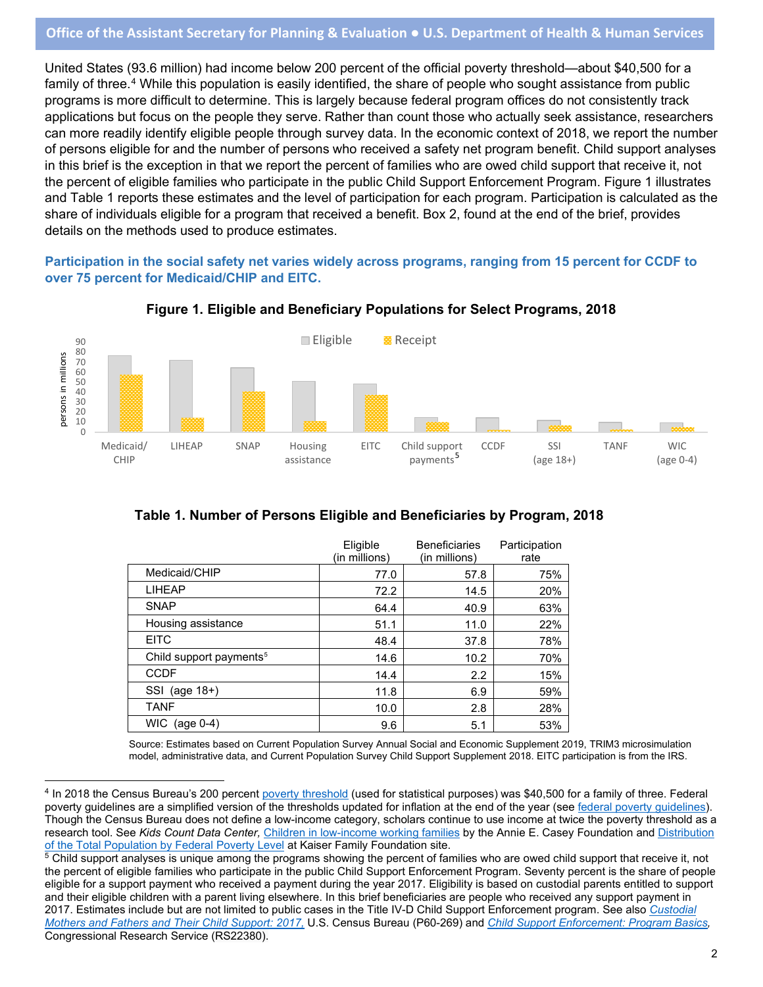United States (93.6 million) had income below 200 percent of the official poverty threshold—about \$40,500 for a family of three. [4](#page-1-0) While this population is easily identified, the share of people who sought assistance from public programs is more difficult to determine. This is largely because federal program offices do not consistently track applications but focus on the people they serve. Rather than count those who actually seek assistance, researchers can more readily identify eligible people through survey data. In the economic context of 2018, we report the number of persons eligible for and the number of persons who received a safety net program benefit. Child support analyses in this brief is the exception in that we report the percent of families who are owed child support that receive it, not the percent of eligible families who participate in the public Child Support Enforcement Program. Figure 1 illustrates and Table 1 reports these estimates and the level of participation for each program. Participation is calculated as the share of individuals eligible for a program that received a benefit. Box 2, found at the end of the brief, provides details on the methods used to produce estimates.

**Participation in the social safety net varies widely across programs, ranging from 15 percent for CCDF to over 75 percent for Medicaid/CHIP and EITC.**



#### **Figure 1. Eligible and Beneficiary Populations for Select Programs, 2018**

# **Table 1. Number of Persons Eligible and Beneficiaries by Program, 2018**

|                                     | Eligible<br>(in millions) | <b>Beneficiaries</b><br>(in millions) | Participation<br>rate |
|-------------------------------------|---------------------------|---------------------------------------|-----------------------|
| Medicaid/CHIP                       | 77.0                      | 57.8                                  | 75%                   |
| <b>LIHEAP</b>                       | 72.2                      | 14.5                                  | 20%                   |
| <b>SNAP</b>                         | 64.4                      | 40.9                                  | 63%                   |
| Housing assistance                  | 51.1                      | 11.0                                  | 22%                   |
| <b>EITC</b>                         | 48.4                      | 37.8                                  | 78%                   |
| Child support payments <sup>5</sup> | 14.6                      | 10.2                                  | 70%                   |
| <b>CCDF</b>                         | 14.4                      | 2.2                                   | 15%                   |
| (age 18+)<br>SSI                    | 11.8                      | 6.9                                   | 59%                   |
| <b>TANF</b>                         | 10.0                      | 2.8                                   | 28%                   |
| <b>WIC</b><br>$(age 0-4)$           | 9.6                       | 5.1                                   | 53%                   |

Source: Estimates based on Current Population Survey Annual Social and Economic Supplement 2019, TRIM3 microsimulation model, administrative data, and Current Population Survey Child Support Supplement 2018. EITC participation is from the IRS.

<span id="page-1-0"></span><sup>4</sup> In 2018 the Census Bureau's 200 percen[t poverty threshold](https://www.census.gov/data/tables/time-series/demo/income-poverty/historical-poverty-thresholds.html) (used for statistical purposes) was \$40,500 for a family of three. Federal poverty guidelines are a simplified version of the thresholds updated for inflation at the end of the year (see [federal poverty guidelines\)](https://aspe.hhs.gov/topics/poverty-economic-mobility/poverty-guidelines/prior-hhs-poverty-guidelines-federal-register-references/2018-poverty-guidelines). Though the Census Bureau does not define a low-income category, scholars continue to use income at twice the poverty threshold as a research tool. See *Kids Count Data Center,* [Children in low-income working families](https://datacenter.kidscount.org/data/tables/5048-children-in-low-income-working-families-by-age-group?loc=1&loct=1#detailed/1/any/false/1729,37,871,870/34,35,36/11455,11456) by the Annie E. Casey Foundation and [Distribution](https://www.kff.org/other/state-indicator/population-up-to-200-fpl/?currentTimeframe=0&sortModel=%7B%22colId%22:%22Location%22,%22sort%22:%22asc%22%7D)  [of the Total Population by Federal Poverty Level](https://www.kff.org/other/state-indicator/population-up-to-200-fpl/?currentTimeframe=0&sortModel=%7B%22colId%22:%22Location%22,%22sort%22:%22asc%22%7D) at Kaiser Family Foundation site.

<span id="page-1-1"></span><sup>&</sup>lt;sup>5</sup> Child support analyses is unique among the programs showing the percent of families who are owed child support that receive it, not the percent of eligible families who participate in the public Child Support Enforcement Program. Seventy percent is the share of people eligible for a support payment who received a payment during the year 2017. Eligibility is based on custodial parents entitled to support and their eligible children with a parent living elsewhere. In this brief beneficiaries are people who received any support payment in 2017. Estimates include but are not limited to public cases in the Title IV-D Child Support Enforcement program. See also *[Custodial](https://www.census.gov/topics/families/child-support.html)  [Mothers and Fathers and Their Child Support: 2017,](https://www.census.gov/topics/families/child-support.html)* U.S. Census Bureau (P60-269) and *[Child Support Enforcement: Program Basics,](https://crsreports.congress.gov/product/details?prodcode=RS22380)* Congressional Research Service (RS22380).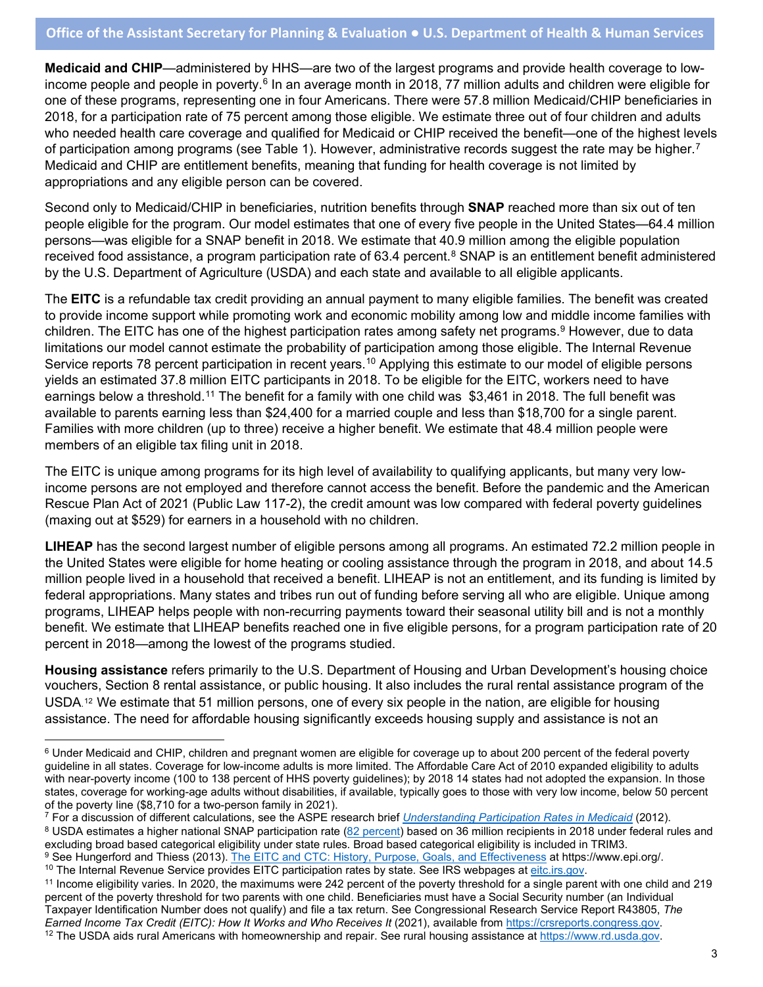**Medicaid and CHIP**—administered by HHS—are two of the largest programs and provide health coverage to low-income people and people in poverty.<sup>[6](#page-2-0)</sup> In an average month in 2018, 77 million adults and children were eligible for one of these programs, representing one in four Americans. There were 57.8 million Medicaid/CHIP beneficiaries in 2018, for a participation rate of 75 percent among those eligible. We estimate three out of four children and adults who needed health care coverage and qualified for Medicaid or CHIP received the benefit—one of the highest levels of participation among programs (see Table 1). However, administrative records suggest the rate may be higher.<sup>[7](#page-2-1)</sup> Medicaid and CHIP are entitlement benefits, meaning that funding for health coverage is not limited by appropriations and any eligible person can be covered.

Second only to Medicaid/CHIP in beneficiaries, nutrition benefits through **SNAP** reached more than six out of ten people eligible for the program. Our model estimates that one of every five people in the United States—64.4 million persons—was eligible for a SNAP benefit in 2018. We estimate that 40.9 million among the eligible population received food assistance, a program participation rate of 63.4 percent.<sup>[8](#page-2-2)</sup> SNAP is an entitlement benefit administered by the U.S. Department of Agriculture (USDA) and each state and available to all eligible applicants.

The **EITC** is a refundable tax credit providing an annual payment to many eligible families. The benefit was created to provide income support while promoting work and economic mobility among low and middle income families with children. The EITC has one of the highest participation rates among safety net programs.<sup>[9](#page-2-3)</sup> However, due to data limitations our model cannot estimate the probability of participation among those eligible. The Internal Revenue Service reports 78 percent participation in recent years.<sup>[10](#page-2-4)</sup> Applying this estimate to our model of eligible persons yields an estimated 37.8 million EITC participants in 2018. To be eligible for the EITC, workers need to have earnings below a threshold.<sup>[11](#page-2-5)</sup> The benefit for a family with one child was \$3,461 in 2018. The full benefit was available to parents earning less than \$24,400 for a married couple and less than \$18,700 for a single parent. Families with more children (up to three) receive a higher benefit. We estimate that 48.4 million people were members of an eligible tax filing unit in 2018.

The EITC is unique among programs for its high level of availability to qualifying applicants, but many very lowincome persons are not employed and therefore cannot access the benefit. Before the pandemic and the American Rescue Plan Act of 2021 (Public Law 117-2), the credit amount was low compared with federal poverty guidelines (maxing out at \$529) for earners in a household with no children.

**LIHEAP** has the second largest number of eligible persons among all programs. An estimated 72.2 million people in the United States were eligible for home heating or cooling assistance through the program in 2018, and about 14.5 million people lived in a household that received a benefit. LIHEAP is not an entitlement, and its funding is limited by federal appropriations. Many states and tribes run out of funding before serving all who are eligible. Unique among programs, LIHEAP helps people with non-recurring payments toward their seasonal utility bill and is not a monthly benefit. We estimate that LIHEAP benefits reached one in five eligible persons, for a program participation rate of 20 percent in 2018—among the lowest of the programs studied.

**Housing assistance** refers primarily to the U.S. Department of Housing and Urban Development's housing choice vouchers, Section 8 rental assistance, or public housing. It also includes the rural rental assistance program of the USDA. [12](#page-2-6) We estimate that 51 million persons, one of every six people in the nation, are eligible for housing assistance. The need for affordable housing significantly exceeds housing supply and assistance is not an

<span id="page-2-1"></span><sup>7</sup> For a discussion of different calculations, see the ASPE research brief *[Understanding Participation Rates in Medicaid](https://aspe.hhs.gov/sites/default/files/private/pdf/76411/ib.pdf)* (2012).

<span id="page-2-2"></span><sup>8</sup> USDA estimates a higher national SNAP participation rate [\(82 percent\)](https://www.fns.usda.gov/snap/trends-participation-rates-fiy-2016-2018) based on 36 million recipients in 2018 under federal rules and excluding broad based categorical eligibility is included in TRIM3.

<span id="page-2-0"></span><sup>&</sup>lt;sup>6</sup> Under Medicaid and CHIP, children and pregnant women are eligible for coverage up to about 200 percent of the federal poverty guideline in all states. Coverage for low-income adults is more limited. The Affordable Care Act of 2010 expanded eligibility to adults with near-poverty income (100 to 138 percent of HHS poverty guidelines); by 2018 14 states had not adopted the expansion. In those states, coverage for working-age adults without disabilities, if available, typically goes to those with very low income, below 50 percent of the poverty line (\$8,710 for a two-person family in 2021).

<span id="page-2-3"></span><sup>&</sup>lt;sup>9</sup> See Hungerford and Thiess (2013)[. The EITC and CTC: History, Purpose, Goals, and Effectiveness](https://www.epi.org/publication/ib370-earned-income-tax-credit-and-the-child-tax-credit-history-purpose-goals-and-effectiveness/) at https://www.epi.org/.<br><sup>10</sup> The Internal Revenue Service provides EITC participation rates by state. See IRS webpages at

<span id="page-2-6"></span><span id="page-2-5"></span><span id="page-2-4"></span><sup>&</sup>lt;sup>11</sup> Income eligibility varies. In 2020, the maximums were 242 percent of the poverty threshold for a single parent with one child and 219 percent of the poverty threshold for two parents with one child. Beneficiaries must have a Social Security number (an Individual Taxpayer Identification Number does not qualify) and file a tax return. See Congressional Research Service Report R43805, *The*  <sup>12</sup> The USDA aids rural Americans with homeownership and repair. See rural housing assistance at https://www.rd.usda.gov.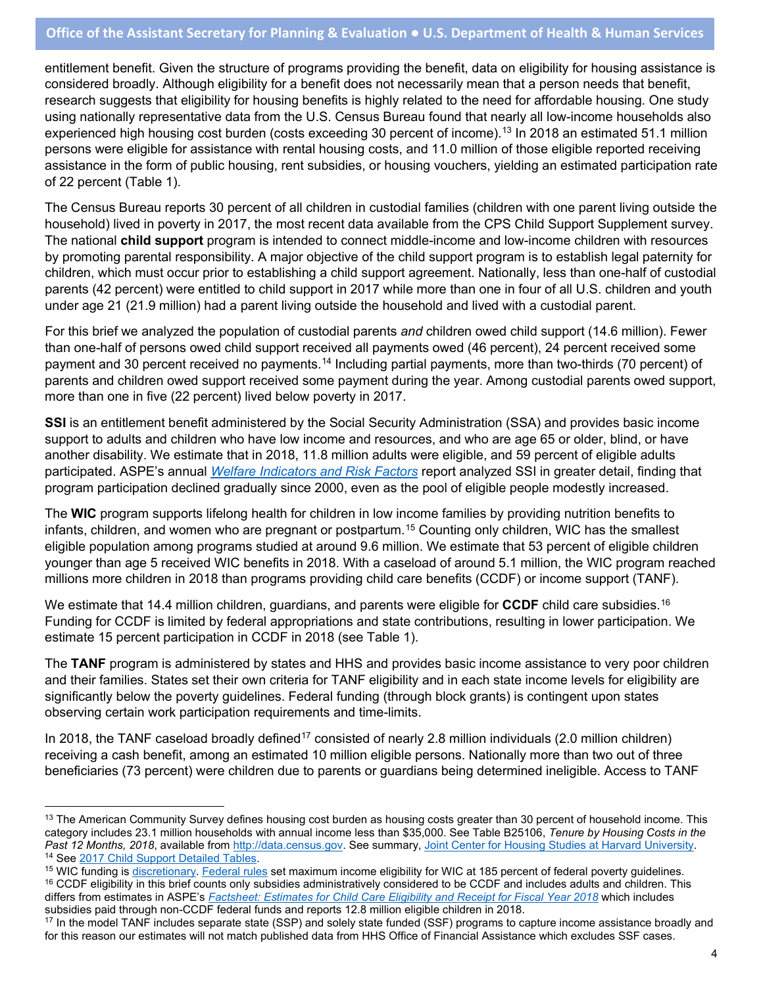# **Office of the Assistant Secretary for Planning & Evaluation ● U.S. Department of Health & Human Services**

entitlement benefit. Given the structure of programs providing the benefit, data on eligibility for housing assistance is considered broadly. Although eligibility for a benefit does not necessarily mean that a person needs that benefit, research suggests that eligibility for housing benefits is highly related to the need for affordable housing. One study using nationally representative data from the U.S. Census Bureau found that nearly all low-income households also experienced high housing cost burden (costs exceeding 30 percent of income).<sup>[13](#page-3-0)</sup> In 2018 an estimated 51.1 million persons were eligible for assistance with rental housing costs, and 11.0 million of those eligible reported receiving assistance in the form of public housing, rent subsidies, or housing vouchers, yielding an estimated participation rate of 22 percent (Table 1).

The Census Bureau reports 30 percent of all children in custodial families (children with one parent living outside the household) lived in poverty in 2017, the most recent data available from the CPS Child Support Supplement survey. The national **child support** program is intended to connect middle-income and low-income children with resources by promoting parental responsibility. A major objective of the child support program is to establish legal paternity for children, which must occur prior to establishing a child support agreement. Nationally, less than one-half of custodial parents (42 percent) were entitled to child support in 2017 while more than one in four of all U.S. children and youth under age 21 (21.9 million) had a parent living outside the household and lived with a custodial parent.

For this brief we analyzed the population of custodial parents *and* children owed child support (14.6 million). Fewer than one-half of persons owed child support received all payments owed (46 percent), 24 percent received some payment and 30 percent received no payments[.14](#page-3-1) Including partial payments, more than two-thirds (70 percent) of parents and children owed support received some payment during the year. Among custodial parents owed support, more than one in five (22 percent) lived below poverty in 2017.

**SSI** is an entitlement benefit administered by the Social Security Administration (SSA) and provides basic income support to adults and children who have low income and resources, and who are age 65 or older, blind, or have another disability. We estimate that in 2018, 11.8 million adults were eligible, and 59 percent of eligible adults participated. ASPE's annual *[Welfare Indicators and Risk Factors](https://aspe.hhs.gov/indicators-welfare-dependence-annual-report-congress)* report analyzed SSI in greater detail, finding that program participation declined gradually since 2000, even as the pool of eligible people modestly increased.

The **WIC** program supports lifelong health for children in low income families by providing nutrition benefits to infants, children, and women who are pregnant or postpartum. [15](#page-3-2) Counting only children, WIC has the smallest eligible population among programs studied at around 9.6 million. We estimate that 53 percent of eligible children younger than age 5 received WIC benefits in 2018. With a caseload of around 5.1 million, the WIC program reached millions more children in 2018 than programs providing child care benefits (CCDF) or income support (TANF).

We estimate that 14.4 million children, guardians, and parents were eligible for **CCDF** child care subsidies. [16](#page-3-3) Funding for CCDF is limited by federal appropriations and state contributions, resulting in lower participation. We estimate 15 percent participation in CCDF in 2018 (see Table 1).

The **TANF** program is administered by states and HHS and provides basic income assistance to very poor children and their families. States set their own criteria for TANF eligibility and in each state income levels for eligibility are significantly below the poverty guidelines. Federal funding (through block grants) is contingent upon states observing certain work participation requirements and time-limits.

In 2018, the TANF caseload broadly defined<sup>[17](#page-3-4)</sup> consisted of nearly 2.8 million individuals (2.0 million children) receiving a cash benefit, among an estimated 10 million eligible persons. Nationally more than two out of three beneficiaries (73 percent) were children due to parents or guardians being determined ineligible. Access to TANF

<span id="page-3-0"></span><sup>&</sup>lt;sup>13</sup> The American Community Survey defines housing cost burden as housing costs greater than 30 percent of household income. This category includes 23.1 million households with annual income less than \$35,000. See Table B25106, *Tenure by Housing Costs in the Past 12 Months, 2018*, available from <u>http://data.census.gov</u>. See summary, <u>Joint Center for Housing Studies at Harvard University</u>.<br><sup>14</sup> See <u>2017 Child Support Detailed Tables</u>.

<span id="page-3-3"></span><span id="page-3-2"></span><span id="page-3-1"></span><sup>&</sup>lt;sup>15</sup> WIC funding is [discretionary.](https://crsreports.congress.gov/product/pdf/R/R44115) [Federal rules](https://www.fns.usda.gov/wic/wic-eligibility-requirements) set maximum income eligibility for WIC at 185 percent of federal poverty guidelines. <sup>16</sup> CCDF eligibility in this brief counts only subsidies administratively considered to be CCDF and includes adults and children. This differs from estimates in ASPE's *[Factsheet: Estimates for Child Care Eligibility and Receipt for Fiscal Year 2018](https://aspe.hhs.gov/estimates-child-care-eligibility-receipt)* which includes subsidies paid through non-CCDF federal funds and reports 12.8 million eligible children in

<span id="page-3-4"></span><sup>&</sup>lt;sup>17</sup> In the model TANF includes separate state (SSP) and solely state funded (SSF) programs to capture income assistance broadly and for this reason our estimates will not match published data from HHS Office of Financial Assistance which excludes SSF cases.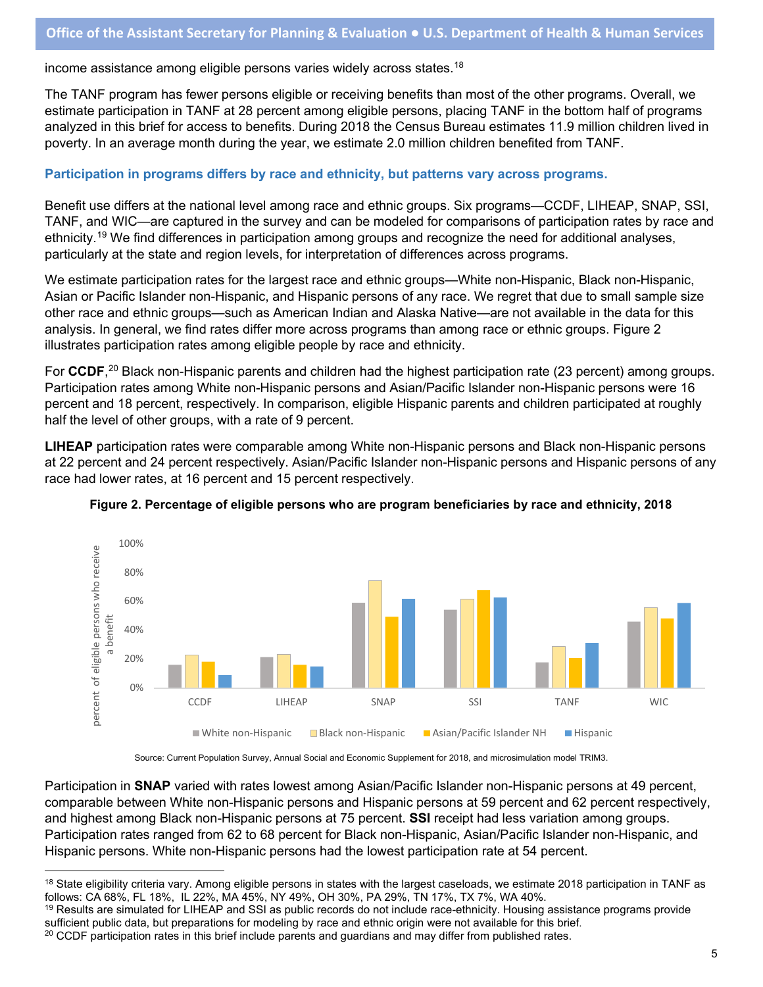income assistance among eligible persons varies widely across states.<sup>[18](#page-4-0)</sup>

The TANF program has fewer persons eligible or receiving benefits than most of the other programs. Overall, we estimate participation in TANF at 28 percent among eligible persons, placing TANF in the bottom half of programs analyzed in this brief for access to benefits. During 2018 the Census Bureau estimates 11.9 million children lived in poverty. In an average month during the year, we estimate 2.0 million children benefited from TANF.

#### **Participation in programs differs by race and ethnicity, but patterns vary across programs.**

Benefit use differs at the national level among race and ethnic groups. Six programs—CCDF, LIHEAP, SNAP, SSI, TANF, and WIC—are captured in the survey and can be modeled for comparisons of participation rates by race and ethnicity.[19](#page-4-1) We find differences in participation among groups and recognize the need for additional analyses, particularly at the state and region levels, for interpretation of differences across programs.

We estimate participation rates for the largest race and ethnic groups—White non-Hispanic, Black non-Hispanic, Asian or Pacific Islander non-Hispanic, and Hispanic persons of any race. We regret that due to small sample size other race and ethnic groups—such as American Indian and Alaska Native—are not available in the data for this analysis. In general, we find rates differ more across programs than among race or ethnic groups. Figure 2 illustrates participation rates among eligible people by race and ethnicity.

For **CCDF**, [20](#page-4-2) Black non-Hispanic parents and children had the highest participation rate (23 percent) among groups. Participation rates among White non-Hispanic persons and Asian/Pacific Islander non-Hispanic persons were 16 percent and 18 percent, respectively. In comparison, eligible Hispanic parents and children participated at roughly half the level of other groups, with a rate of 9 percent.

**LIHEAP** participation rates were comparable among White non-Hispanic persons and Black non-Hispanic persons at 22 percent and 24 percent respectively. Asian/Pacific Islander non-Hispanic persons and Hispanic persons of any race had lower rates, at 16 percent and 15 percent respectively.



**Figure 2. Percentage of eligible persons who are program beneficiaries by race and ethnicity, 2018**

Source: Current Population Survey, Annual Social and Economic Supplement for 2018, and microsimulation model TRIM3.

Participation in **SNAP** varied with rates lowest among Asian/Pacific Islander non-Hispanic persons at 49 percent, comparable between White non-Hispanic persons and Hispanic persons at 59 percent and 62 percent respectively, and highest among Black non-Hispanic persons at 75 percent. **SSI** receipt had less variation among groups. Participation rates ranged from 62 to 68 percent for Black non-Hispanic, Asian/Pacific Islander non-Hispanic, and Hispanic persons. White non-Hispanic persons had the lowest participation rate at 54 percent.

<span id="page-4-0"></span><sup>&</sup>lt;sup>18</sup> State eligibility criteria vary. Among eligible persons in states with the largest caseloads, we estimate 2018 participation in TANF as follows: CA 68%, FL 18%, IL 22%, MA 45%, NY 49%, OH 30%, PA 29%, TN 17%, TX 7%, WA 40%.

<span id="page-4-1"></span> $19$  Results are simulated for LIHEAP and SSI as public records do not include race-ethnicity. Housing assistance programs provide sufficient public data, but preparations for modeling by race and ethnic origin were not available for this brief.

<span id="page-4-2"></span> $20$  CCDF participation rates in this brief include parents and quardians and may differ from published rates.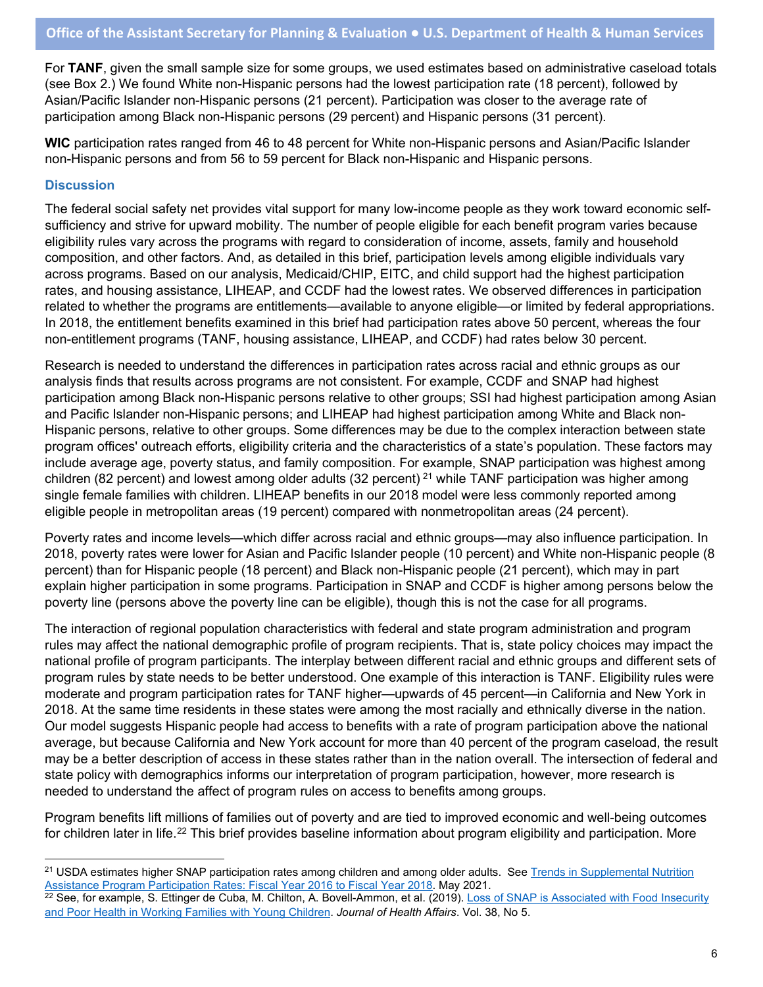For **TANF**, given the small sample size for some groups, we used estimates based on administrative caseload totals (see Box 2.) We found White non-Hispanic persons had the lowest participation rate (18 percent), followed by Asian/Pacific Islander non-Hispanic persons (21 percent). Participation was closer to the average rate of participation among Black non-Hispanic persons (29 percent) and Hispanic persons (31 percent).

**WIC** participation rates ranged from 46 to 48 percent for White non-Hispanic persons and Asian/Pacific Islander non-Hispanic persons and from 56 to 59 percent for Black non-Hispanic and Hispanic persons.

# **Discussion**

The federal social safety net provides vital support for many low-income people as they work toward economic selfsufficiency and strive for upward mobility. The number of people eligible for each benefit program varies because eligibility rules vary across the programs with regard to consideration of income, assets, family and household composition, and other factors. And, as detailed in this brief, participation levels among eligible individuals vary across programs. Based on our analysis, Medicaid/CHIP, EITC, and child support had the highest participation rates, and housing assistance, LIHEAP, and CCDF had the lowest rates. We observed differences in participation related to whether the programs are entitlements—available to anyone eligible—or limited by federal appropriations. In 2018, the entitlement benefits examined in this brief had participation rates above 50 percent, whereas the four non-entitlement programs (TANF, housing assistance, LIHEAP, and CCDF) had rates below 30 percent.

Research is needed to understand the differences in participation rates across racial and ethnic groups as our analysis finds that results across programs are not consistent. For example, CCDF and SNAP had highest participation among Black non-Hispanic persons relative to other groups; SSI had highest participation among Asian and Pacific Islander non-Hispanic persons; and LIHEAP had highest participation among White and Black non-Hispanic persons, relative to other groups. Some differences may be due to the complex interaction between state program offices' outreach efforts, eligibility criteria and the characteristics of a state's population. These factors may include average age, poverty status, and family composition. For example, SNAP participation was highest among children (82 percent) and lowest among older adults (32 percent)  $^{21}$  $^{21}$  $^{21}$  while TANF participation was higher among single female families with children. LIHEAP benefits in our 2018 model were less commonly reported among eligible people in metropolitan areas (19 percent) compared with nonmetropolitan areas (24 percent).

Poverty rates and income levels—which differ across racial and ethnic groups—may also influence participation. In 2018, poverty rates were lower for Asian and Pacific Islander people (10 percent) and White non-Hispanic people (8 percent) than for Hispanic people (18 percent) and Black non-Hispanic people (21 percent), which may in part explain higher participation in some programs. Participation in SNAP and CCDF is higher among persons below the poverty line (persons above the poverty line can be eligible), though this is not the case for all programs.

The interaction of regional population characteristics with federal and state program administration and program rules may affect the national demographic profile of program recipients. That is, state policy choices may impact the national profile of program participants. The interplay between different racial and ethnic groups and different sets of program rules by state needs to be better understood. One example of this interaction is TANF. Eligibility rules were moderate and program participation rates for TANF higher—upwards of 45 percent—in California and New York in 2018. At the same time residents in these states were among the most racially and ethnically diverse in the nation. Our model suggests Hispanic people had access to benefits with a rate of program participation above the national average, but because California and New York account for more than 40 percent of the program caseload, the result may be a better description of access in these states rather than in the nation overall. The intersection of federal and state policy with demographics informs our interpretation of program participation, however, more research is needed to understand the affect of program rules on access to benefits among groups.

Program benefits lift millions of families out of poverty and are tied to improved economic and well-being outcomes for children later in life.<sup>[22](#page-5-1)</sup> This brief provides baseline information about program eligibility and participation. More

<span id="page-5-0"></span><sup>&</sup>lt;sup>21</sup> USDA estimates higher SNAP participation rates among children and among older adults. See Trends in Supplemental Nutrition [Assistance Program Participation Rates: Fiscal Year 2016 to Fiscal Year 2018.](https://fns-prod.azureedge.net/sites/default/files/resource-files/Trends2016-2018.pdf) May 2021.

<span id="page-5-1"></span><sup>&</sup>lt;sup>22</sup> See, for example, S. Ettinger de Cuba, M. Chilton, A. Bovell-Ammon, et al. (2019). Loss of SNAP is Associated with Food Insecurity [and Poor Health in Working Families with Young Children.](https://www.healthaffairs.org/doi/10.1377/hlthaff.2018.05265) *Journal of Health Affairs*. Vol. 38, No 5.